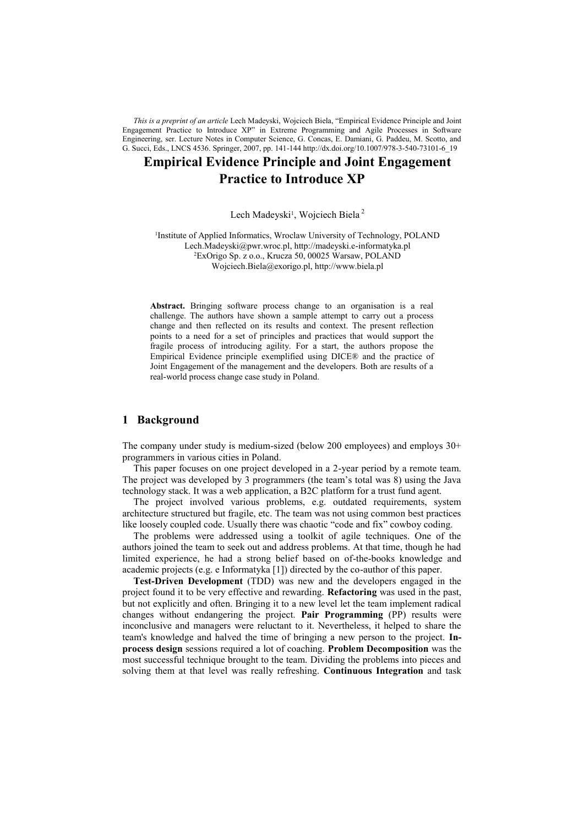*This is a preprint of an article* Lech Madeyski, Wojciech Biela, "Empirical Evidence Principle and Joint Engagement Practice to Introduce XP" in Extreme Programming and Agile Processes in Software Engineering, ser. Lecture Notes in Computer Science, G. Concas, E. Damiani, G. Paddeu, M. Scotto, and G. Succi, Eds., LNCS 4536. Springer, 2007, pp. 141-144 http://dx.doi.org/10.1007/978-3-540-73101-6\_19

# **Empirical Evidence Principle and Joint Engagement Practice to Introduce XP**

## Lech Madeyski<sup>1</sup>, Wojciech Biela<sup>2</sup>

<sup>1</sup>Institute of Applied Informatics, Wroclaw University of Technology, POLAND Lech.Madeyski@pwr.wroc.pl, http://madeyski.e-informatyka.pl <sup>2</sup>ExOrigo Sp. z o.o., Krucza 50, 00025 Warsaw, POLAND Wojciech.Biela@exorigo.pl, http://www.biela.pl

**Abstract.** Bringing software process change to an organisation is a real challenge. The authors have shown a sample attempt to carry out a process change and then reflected on its results and context. The present reflection points to a need for a set of principles and practices that would support the fragile process of introducing agility. For a start, the authors propose the Empirical Evidence principle exemplified using DICE® and the practice of Joint Engagement of the management and the developers. Both are results of a real-world process change case study in Poland.

## **1 Background**

The company under study is medium-sized (below 200 employees) and employs 30+ programmers in various cities in Poland.

This paper focuses on one project developed in a 2-year period by a remote team. The project was developed by 3 programmers (the team's total was 8) using the Java technology stack. It was a web application, a B2C platform for a trust fund agent.

The project involved various problems, e.g. outdated requirements, system architecture structured but fragile, etc. The team was not using common best practices like loosely coupled code. Usually there was chaotic "code and fix" cowboy coding.

The problems were addressed using a toolkit of agile techniques. One of the authors joined the team to seek out and address problems. At that time, though he had limited experience, he had a strong belief based on of-the-books knowledge and academic projects (e.g. e Informatyka [1]) directed by the co-author of this paper.

**Test-Driven Development** (TDD) was new and the developers engaged in the project found it to be very effective and rewarding. **Refactoring** was used in the past, but not explicitly and often. Bringing it to a new level let the team implement radical changes without endangering the project. **Pair Programming** (PP) results were inconclusive and managers were reluctant to it. Nevertheless, it helped to share the team's knowledge and halved the time of bringing a new person to the project. **Inprocess design** sessions required a lot of coaching. **Problem Decomposition** was the most successful technique brought to the team. Dividing the problems into pieces and solving them at that level was really refreshing. **Continuous Integration** and task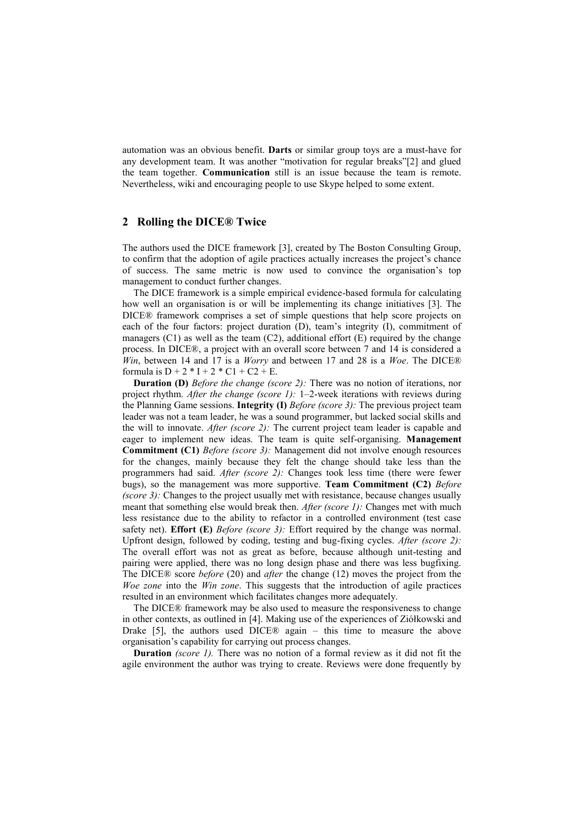automation was an obvious benefit. **Darts** or similar group toys are a must-have for any development team. It was another "motivation for regular breaks"[2] and glued the team together. **Communication** still is an issue because the team is remote. Nevertheless, wiki and encouraging people to use Skype helped to some extent.

## **2 Rolling the DICE® Twice**

The authors used the DICE framework [3], created by The Boston Consulting Group, to confirm that the adoption of agile practices actually increases the project's chance of success. The same metric is now used to convince the organisation's top management to conduct further changes.

The DICE framework is a simple empirical evidence-based formula for calculating how well an organisation is or will be implementing its change initiatives [3]. The DICE® framework comprises a set of simple questions that help score projects on each of the four factors: project duration (D), team's integrity (I), commitment of managers  $(C1)$  as well as the team  $(C2)$ , additional effort  $(E)$  required by the change process. In DICE®, a project with an overall score between 7 and 14 is considered a *Win*, between 14 and 17 is a *Worry* and between 17 and 28 is a *Woe*. The DICE® formula is  $D + 2 * I + 2 * C1 + C2 + E$ .

**Duration (D)** *Before the change (score 2):* There was no notion of iterations, nor project rhythm. *After the change (score 1):* 1–2-week iterations with reviews during the Planning Game sessions. **Integrity (I)** *Before (score 3):* The previous project team leader was not a team leader, he was a sound programmer, but lacked social skills and the will to innovate. *After (score 2):* The current project team leader is capable and eager to implement new ideas. The team is quite self-organising. **Management Commitment (C1)** *Before (score 3):* Management did not involve enough resources for the changes, mainly because they felt the change should take less than the programmers had said. *After (score 2):* Changes took less time (there were fewer bugs), so the management was more supportive. **Team Commitment (C2)** *Before (score 3):* Changes to the project usually met with resistance, because changes usually meant that something else would break then. *After (score 1):* Changes met with much less resistance due to the ability to refactor in a controlled environment (test case safety net). **Effort (E)** *Before (score 3):* Effort required by the change was normal. Upfront design, followed by coding, testing and bug-fixing cycles. *After (score 2):* The overall effort was not as great as before, because although unit-testing and pairing were applied, there was no long design phase and there was less bugfixing. The DICE® score *before* (20) and *after* the change (12) moves the project from the *Woe zone* into the *Win zone*. This suggests that the introduction of agile practices resulted in an environment which facilitates changes more adequately.

The DICE® framework may be also used to measure the responsiveness to change in other contexts, as outlined in [4]. Making use of the experiences of Ziółkowski and Drake [5], the authors used DICE® again – this time to measure the above organisation's capability for carrying out process changes.

**Duration** *(score 1).* There was no notion of a formal review as it did not fit the agile environment the author was trying to create. Reviews were done frequently by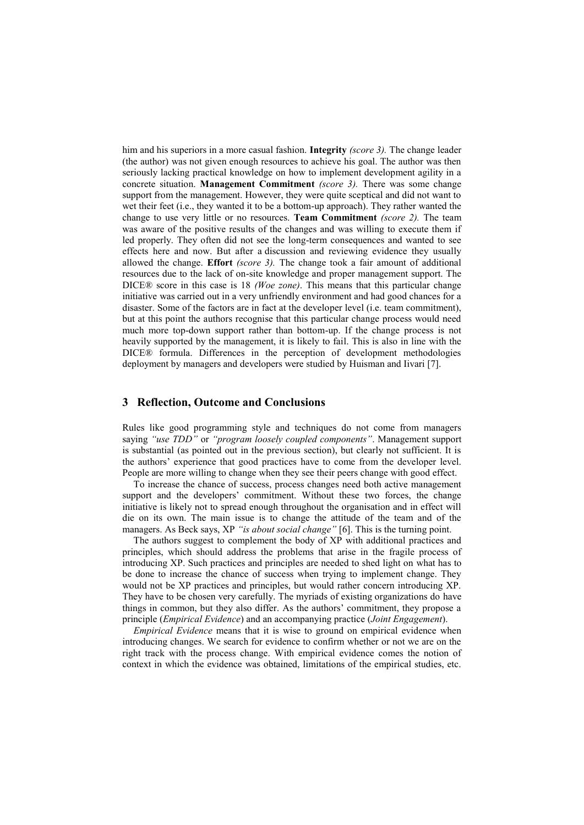him and his superiors in a more casual fashion. **Integrity** *(score 3).* The change leader (the author) was not given enough resources to achieve his goal. The author was then seriously lacking practical knowledge on how to implement development agility in a concrete situation. **Management Commitment** *(score 3).* There was some change support from the management. However, they were quite sceptical and did not want to wet their feet (i.e., they wanted it to be a bottom-up approach). They rather wanted the change to use very little or no resources. **Team Commitment** *(score 2).* The team was aware of the positive results of the changes and was willing to execute them if led properly. They often did not see the long-term consequences and wanted to see effects here and now. But after a discussion and reviewing evidence they usually allowed the change. **Effort** *(score 3).* The change took a fair amount of additional resources due to the lack of on-site knowledge and proper management support. The DICE® score in this case is 18 *(Woe zone)*. This means that this particular change initiative was carried out in a very unfriendly environment and had good chances for a disaster. Some of the factors are in fact at the developer level (i.e. team commitment), but at this point the authors recognise that this particular change process would need much more top-down support rather than bottom-up. If the change process is not heavily supported by the management, it is likely to fail. This is also in line with the DICE® formula. Differences in the perception of development methodologies deployment by managers and developers were studied by Huisman and Iivari [7].

## **3 Reflection, Outcome and Conclusions**

Rules like good programming style and techniques do not come from managers saying *"use TDD"* or *"program loosely coupled components"*. Management support is substantial (as pointed out in the previous section), but clearly not sufficient. It is the authors' experience that good practices have to come from the developer level. People are more willing to change when they see their peers change with good effect.

To increase the chance of success, process changes need both active management support and the developers' commitment. Without these two forces, the change initiative is likely not to spread enough throughout the organisation and in effect will die on its own. The main issue is to change the attitude of the team and of the managers. As Beck says, XP *"is about social change"* [6]. This is the turning point.

The authors suggest to complement the body of XP with additional practices and principles, which should address the problems that arise in the fragile process of introducing XP. Such practices and principles are needed to shed light on what has to be done to increase the chance of success when trying to implement change. They would not be XP practices and principles, but would rather concern introducing XP. They have to be chosen very carefully. The myriads of existing organizations do have things in common, but they also differ. As the authors' commitment, they propose a principle (*Empirical Evidence*) and an accompanying practice (*Joint Engagement*).

*Empirical Evidence* means that it is wise to ground on empirical evidence when introducing changes. We search for evidence to confirm whether or not we are on the right track with the process change. With empirical evidence comes the notion of context in which the evidence was obtained, limitations of the empirical studies, etc.